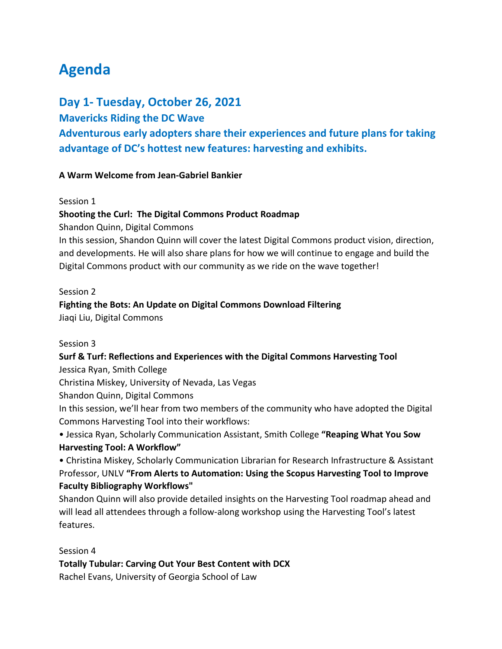# **Agenda**

## **Day 1- Tuesday, October 26, 2021**

## **Mavericks Riding the DC Wave**

**Adventurous early adopters share their experiences and future plans for taking advantage of DC's hottest new features: harvesting and exhibits.**

## **A Warm Welcome from Jean-Gabriel Bankier**

#### Session 1

#### **Shooting the Curl: The Digital Commons Product Roadmap**

Shandon Quinn, Digital Commons

In this session, Shandon Quinn will cover the latest Digital Commons product vision, direction, and developments. He will also share plans for how we will continue to engage and build the Digital Commons product with our community as we ride on the wave together!

#### Session 2

#### **Fighting the Bots: An Update on Digital Commons Download Filtering**

Jiaqi Liu, Digital Commons

#### Session 3

## **Surf & Turf: Reflections and Experiences with the Digital Commons Harvesting Tool**

Jessica Ryan, Smith College

Christina Miskey, University of Nevada, Las Vegas

Shandon Quinn, Digital Commons

In this session, we'll hear from two members of the community who have adopted the Digital Commons Harvesting Tool into their workflows:

• Jessica Ryan, Scholarly Communication Assistant, Smith College **"Reaping What You Sow Harvesting Tool: A Workflow"** 

• Christina Miskey, Scholarly Communication Librarian for Research Infrastructure & Assistant Professor, UNLV **"From Alerts to Automation: Using the Scopus Harvesting Tool to Improve Faculty Bibliography Workflows"**

Shandon Quinn will also provide detailed insights on the Harvesting Tool roadmap ahead and will lead all attendees through a follow-along workshop using the Harvesting Tool's latest features.

#### Session 4

**Totally Tubular: Carving Out Your Best Content with DCX**

Rachel Evans, University of Georgia School of Law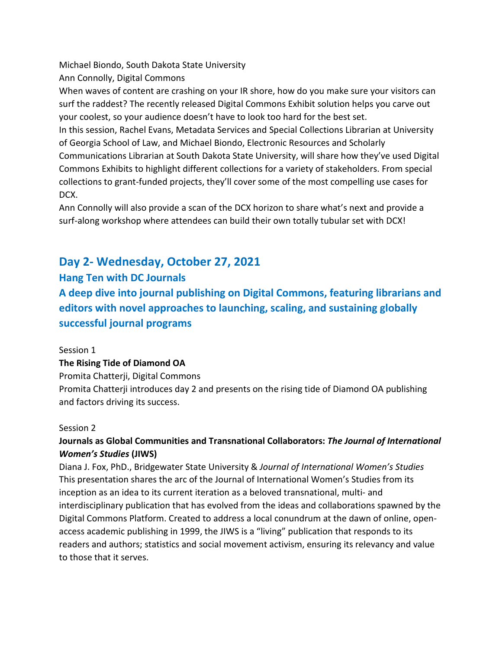Michael Biondo, South Dakota State University Ann Connolly, Digital Commons

When waves of content are crashing on your IR shore, how do you make sure your visitors can surf the raddest? The recently released Digital Commons Exhibit solution helps you carve out your coolest, so your audience doesn't have to look too hard for the best set.

In this session, Rachel Evans, Metadata Services and Special Collections Librarian at University of Georgia School of Law, and Michael Biondo, Electronic Resources and Scholarly Communications Librarian at South Dakota State University, will share how they've used Digital Commons Exhibits to highlight different collections for a variety of stakeholders. From special collections to grant-funded projects, they'll cover some of the most compelling use cases for DCX.

Ann Connolly will also provide a scan of the DCX horizon to share what's next and provide a surf-along workshop where attendees can build their own totally tubular set with DCX!

# **Day 2- Wednesday, October 27, 2021**

## **Hang Ten with DC Journals**

**A deep dive into journal publishing on Digital Commons, featuring librarians and editors with novel approaches to launching, scaling, and sustaining globally successful journal programs**

## Session 1

## **The Rising Tide of Diamond OA**

Promita Chatterji, Digital Commons

Promita Chatterji introduces day 2 and presents on the rising tide of Diamond OA publishing and factors driving its success.

## Session 2

## **Journals as Global Communities and Transnational Collaborators:** *The Journal of International Women's Studies* **(JIWS)**

Diana J. Fox, PhD., Bridgewater State University & *Journal of International Women's Studies* This presentation shares the arc of the Journal of International Women's Studies from its inception as an idea to its current iteration as a beloved transnational, multi- and interdisciplinary publication that has evolved from the ideas and collaborations spawned by the Digital Commons Platform. Created to address a local conundrum at the dawn of online, openaccess academic publishing in 1999, the JIWS is a "living" publication that responds to its readers and authors; statistics and social movement activism, ensuring its relevancy and value to those that it serves.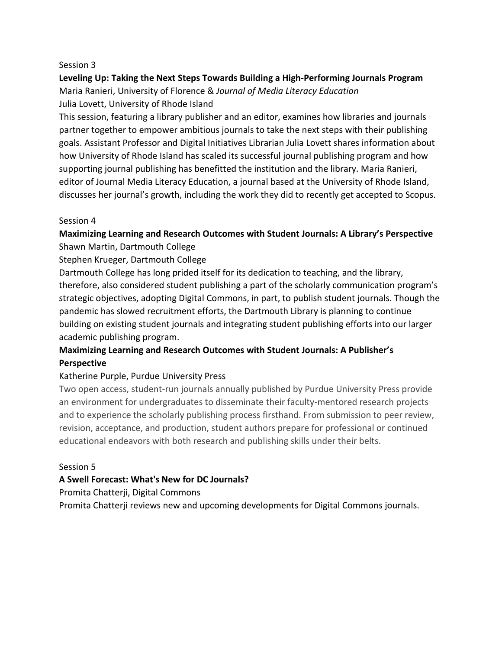#### Session 3

## **Leveling Up: Taking the Next Steps Towards Building a High-Performing Journals Program** Maria Ranieri, University of Florence & *Journal of Media Literacy Education* Julia Lovett, University of Rhode Island

This session, featuring a library publisher and an editor, examines how libraries and journals partner together to empower ambitious journals to take the next steps with their publishing goals. Assistant Professor and Digital Initiatives Librarian Julia Lovett shares information about how University of Rhode Island has scaled its successful journal publishing program and how supporting journal publishing has benefitted the institution and the library. Maria Ranieri, editor of Journal Media Literacy Education, a journal based at the University of Rhode Island, discusses her journal's growth, including the work they did to recently get accepted to Scopus.

#### Session 4

## **Maximizing Learning and Research Outcomes with Student Journals: A Library's Perspective** Shawn Martin, Dartmouth College

Stephen Krueger, Dartmouth College

Dartmouth College has long prided itself for its dedication to teaching, and the library, therefore, also considered student publishing a part of the scholarly communication program's strategic objectives, adopting Digital Commons, in part, to publish student journals. Though the pandemic has slowed recruitment efforts, the Dartmouth Library is planning to continue building on existing student journals and integrating student publishing efforts into our larger academic publishing program.

## **Maximizing Learning and Research Outcomes with Student Journals: A Publisher's Perspective**

## Katherine Purple, Purdue University Press

Two open access, student-run journals annually published by Purdue University Press provide an environment for undergraduates to disseminate their faculty-mentored research projects and to experience the scholarly publishing process firsthand. From submission to peer review, revision, acceptance, and production, student authors prepare for professional or continued educational endeavors with both research and publishing skills under their belts.

## Session 5

## **A Swell Forecast: What's New for DC Journals?**

Promita Chatterji, Digital Commons

Promita Chatterji reviews new and upcoming developments for Digital Commons journals.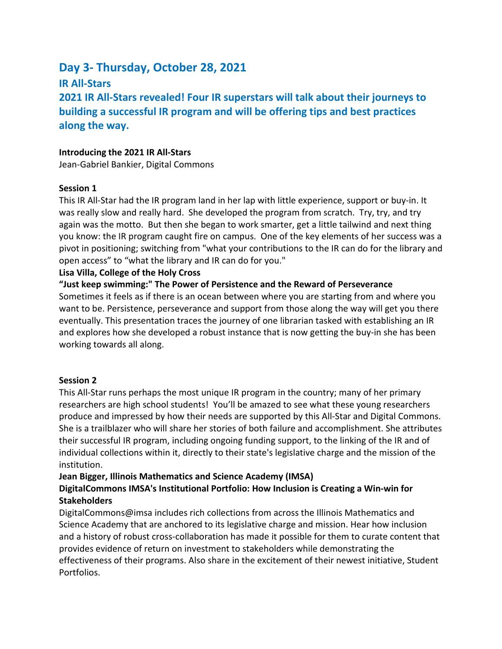# **Day 3- Thursday, October 28, 2021**

**IR All-Stars**

**2021 IR All-Stars revealed! Four IR superstars will talk about their journeys to building a successful IR program and will be offering tips and best practices along the way.**

#### **Introducing the 2021 IR All-Stars**

Jean-Gabriel Bankier, Digital Commons

#### **Session 1**

This IR All-Star had the IR program land in her lap with little experience, support or buy-in. It was really slow and really hard. She developed the program from scratch. Try, try, and try again was the motto. But then she began to work smarter, get a little tailwind and next thing you know: the IR program caught fire on campus. One of the key elements of her success was a pivot in positioning; switching from "what your contributions to the IR can do for the library and open access" to "what the library and IR can do for you."

#### **Lisa Villa, College of the Holy Cross**

**"Just keep swimming:" The Power of Persistence and the Reward of Perseverance** Sometimes it feels as if there is an ocean between where you are starting from and where you want to be. Persistence, perseverance and support from those along the way will get you there eventually. This presentation traces the journey of one librarian tasked with establishing an IR and explores how she developed a robust instance that is now getting the buy-in she has been working towards all along.

## **Session 2**

This All-Star runs perhaps the most unique IR program in the country; many of her primary researchers are high school students! You'll be amazed to see what these young researchers produce and impressed by how their needs are supported by this All-Star and Digital Commons. She is a trailblazer who will share her stories of both failure and accomplishment. She attributes their successful IR program, including ongoing funding support, to the linking of the IR and of individual collections within it, directly to their state's legislative charge and the mission of the institution.

## **Jean Bigger, Illinois Mathematics and Science Academy (IMSA)**

## **DigitalCommons IMSA's Institutional Portfolio: How Inclusion is Creating a Win-win for Stakeholders**

DigitalCommons@imsa includes rich collections from across the Illinois Mathematics and Science Academy that are anchored to its legislative charge and mission. Hear how inclusion and a history of robust cross-collaboration has made it possible for them to curate content that provides evidence of return on investment to stakeholders while demonstrating the effectiveness of their programs. Also share in the excitement of their newest initiative, Student Portfolios.